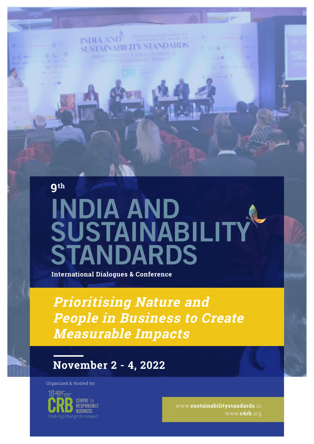**9th** 

# INDIA AND<br>SUSTAINABILI **STANDARDS**

**International Dialogues & Conference** 

**INDIA ANI** 

**Prioritising Nature and People in Business to Create Measurable Impacts**

#### **November 2 - 4, 2022**

Organized & Hosted by:



www.**sustainabilitystandards**.in www.**c4rb**.org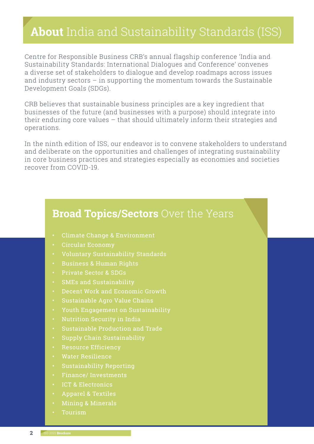## **About** India and Sustainability Standards (ISS)

Centre for Responsible Business CRB's annual flagship conference 'India and Sustainability Standards: International Dialogues and Conference' convenes a diverse set of stakeholders to dialogue and develop roadmaps across issues and industry sectors – in supporting the momentum towards the Sustainable Development Goals (SDGs).

CRB believes that sustainable business principles are a key ingredient that businesses of the future (and businesses with a purpose) should integrate into their enduring core values – that should ultimately inform their strategies and operations.

In the ninth edition of ISS, our endeavor is to convene stakeholders to understand and deliberate on the opportunities and challenges of integrating sustainability in core business practices and strategies especially as economies and societies recover from COVID-19.

#### **Broad Topics/Sectors** Over the Years

- Climate Change & Environment
- 
- 
- Business & Human Rights
- Private Sector & SDGs
- SMEs and Sustainability
- Decent Work and Economic Growth
- Sustainable Agro Value Chains
- Youth Engagement on Sustainability
- 
- Sustainable Production and Trade
- Supply Chain Sustainability
- Resource Efficiency
- Water Resilience
- 
- Finance/ Investments
- ICT & Electronics
- Apparel & Textiles
- Mining & Minerals
- Tourism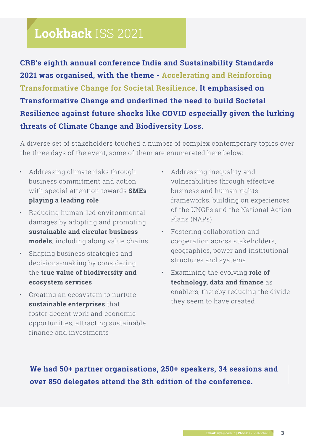# **Lookback** ISS 2021

**CRB's eighth annual conference India and Sustainability Standards 2021 was organised, with the theme - Accelerating and Reinforcing Transformative Change for Societal Resilience. It emphasised on Transformative Change and underlined the need to build Societal Resilience against future shocks like COVID especially given the lurking threats of Climate Change and Biodiversity Loss.**

A diverse set of stakeholders touched a number of complex contemporary topics over the three days of the event, some of them are enumerated here below:

- Addressing climate risks through business commitment and action with special attention towards **SMEs playing a leading role**
- Reducing human-led environmental damages by adopting and promoting **sustainable and circular business models**, including along value chains
- Shaping business strategies and decisions-making by considering the **true value of biodiversity and ecosystem services**
- Creating an ecosystem to nurture **sustainable enterprises** that foster decent work and economic opportunities, attracting sustainable finance and investments
- Addressing inequality and vulnerabilities through effective business and human rights frameworks, building on experiences of the UNGPs and the National Action Plans (NAPs)
- Fostering collaboration and cooperation across stakeholders, geographies, power and institutional structures and systems
- Examining the evolving **role of technology, data and finance** as enablers, thereby reducing the divide they seem to have created

**We had 50+ partner organisations, 250+ speakers, 34 sessions and over 850 delegates attend the 8th edition of the conference.**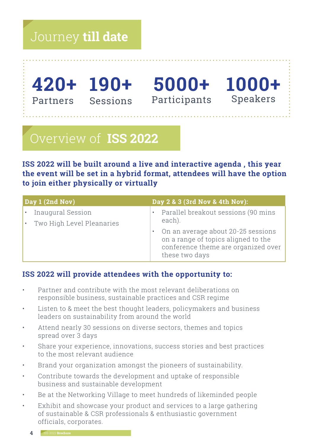# Journey **till date**

Partners Sessions

Participants Speakers



# Overview of **ISS 2022**

**ISS 2022 will be built around a live and interactive agenda , this year the event will be set in a hybrid format, attendees will have the option to join either physically or virtually**

| Day 1 (2nd Nov)                                | Day 2 & 3 (3rd Nov & 4th Nov):                                                                                                     |
|------------------------------------------------|------------------------------------------------------------------------------------------------------------------------------------|
| Inaugural Session<br>Two High Level Pleanaries | Parallel breakout sessions (90 mins<br>each).                                                                                      |
|                                                | On an average about 20-25 sessions<br>on a range of topics aligned to the<br>conference theme are organized over<br>these two days |

#### **ISS 2022 will provide attendees with the opportunity to:**

- Partner and contribute with the most relevant deliberations on responsible business, sustainable practices and CSR regime
- Listen to & meet the best thought leaders, policymakers and business leaders on sustainability from around the world
- Attend nearly 30 sessions on diverse sectors, themes and topics spread over 3 days
- Share your experience, innovations, success stories and best practices to the most relevant audience
- Brand your organization amongst the pioneers of sustainability.
- Contribute towards the development and uptake of responsible business and sustainable development
- Be at the Networking Village to meet hundreds of likeminded people
- Exhibit and showcase your product and services to a large gathering of sustainable & CSR professionals & enthusiastic government officials, corporates.
	- **4** ISS 2022 **Brochure**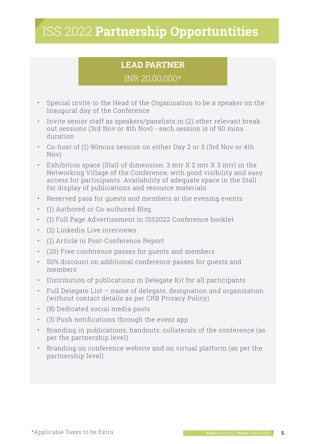# ISS 2022 **Partnership Opportuntities**

#### **LEAD PARTNER**

#### INR 20,00,000\*

- Special invite to the Head of the Organisation to be a speaker on the Inaugural day of the Conference
- Invite senior staff as speakers/panelists in (2) other relevant breakout sessions (3rd Nov or 4th Nov) - each session is of 90 mins duration
- Co-host of (1) 90mins session on either Day 2 or 3 (3rd Nov or 4th Nov)
- Exhibition space (Stall of dimension: 3 mtr X 2 mtr X 3 mtr) in the Networking Village of the Conference, with good visibility and easy access for participants. Availability of adequate space in the Stall for display of publications and resource materials
- Reserved pass for guests and members at the evening events
- (1) Authored or Co-authored Blog
- (1) Full Page Advertisement in ISS2022 Conference booklet
- (2) Linkedin Live interviews
- (1) Article in Post-Conference Report
- (20) Free conference passes for guests and members
- 50% discount on additional conference passes for guests and members
- Distribution of publications in Delegate Kit for all participants
- Full Delegate List name of delegate, designation and organization (without contact details as per CRB Privacy Policy)
- (8) Dedicated social media posts
- (3) Push notifications through the event app
- Branding in publications, handouts, collaterals of the conference (as per the partnership level)
- Branding on conference website and on virtual platform (as per the partnership level)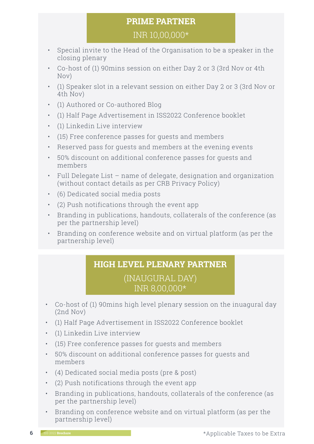#### **PRIME PARTNER**

#### INR 10,00,000\*

- Special invite to the Head of the Organisation to be a speaker in the closing plenary
- Co-host of (1) 90mins session on either Day 2 or 3 (3rd Nov or 4th Nov)
- (1) Speaker slot in a relevant session on either Day 2 or 3 (3rd Nov or 4th Nov)
- (1) Authored or Co-authored Blog
- (1) Half Page Advertisement in ISS2022 Conference booklet
- (1) Linkedin Live interview
- (15) Free conference passes for guests and members
- Reserved pass for guests and members at the evening events
- 50% discount on additional conference passes for guests and members
- Full Delegate List name of delegate, designation and organization (without contact details as per CRB Privacy Policy)
- (6) Dedicated social media posts
- (2) Push notifications through the event app
- Branding in publications, handouts, collaterals of the conference (as per the partnership level)
- Branding on conference website and on virtual platform (as per the partnership level)

#### **HIGH LEVEL PLENARY PARTNER**

#### (INAUGURAL DAY) INR 8,00,000\*

- Co-host of (1) 90mins high level plenary session on the inuagural day (2nd Nov)
- (1) Half Page Advertisement in ISS2022 Conference booklet
- (1) Linkedin Live interview
- (15) Free conference passes for guests and members
- 50% discount on additional conference passes for guests and members
- (4) Dedicated social media posts (pre & post)
- (2) Push notifications through the event app
- Branding in publications, handouts, collaterals of the conference (as per the partnership level)
- Branding on conference website and on virtual platform (as per the partnership level)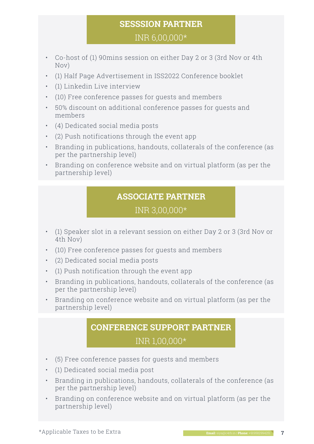#### **SESSSION PARTNER**

INR 6,00,000\*

- Co-host of (1) 90mins session on either Day 2 or 3 (3rd Nov or 4th Nov)
- (1) Half Page Advertisement in ISS2022 Conference booklet
- (1) Linkedin Live interview
- (10) Free conference passes for guests and members
- 50% discount on additional conference passes for guests and members
- (4) Dedicated social media posts
- (2) Push notifications through the event app
- Branding in publications, handouts, collaterals of the conference (as per the partnership level)
- Branding on conference website and on virtual platform (as per the partnership level)

#### **ASSOCIATE PARTNER**

#### INR 3,00,000\*

- (1) Speaker slot in a relevant session on either Day 2 or 3 (3rd Nov or 4th Nov)
- (10) Free conference passes for guests and members
- (2) Dedicated social media posts
- (1) Push notification through the event app
- Branding in publications, handouts, collaterals of the conference (as per the partnership level)
- Branding on conference website and on virtual platform (as per the partnership level)

#### **CONFERENCE SUPPORT PARTNER** INR 1,00,000\*

- (5) Free conference passes for guests and members
- (1) Dedicated social media post
- Branding in publications, handouts, collaterals of the conference (as per the partnership level)
- Branding on conference website and on virtual platform (as per the partnership level)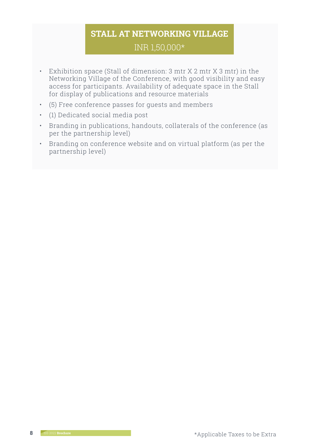#### **STALL AT NETWORKING VILLAGE**  INR 1,50,000\*

- Exhibition space (Stall of dimension: 3 mtr X 2 mtr X 3 mtr) in the Networking Village of the Conference, with good visibility and easy access for participants. Availability of adequate space in the Stall for display of publications and resource materials
- (5) Free conference passes for guests and members
- (1) Dedicated social media post
- Branding in publications, handouts, collaterals of the conference (as per the partnership level)
- Branding on conference website and on virtual platform (as per the partnership level)